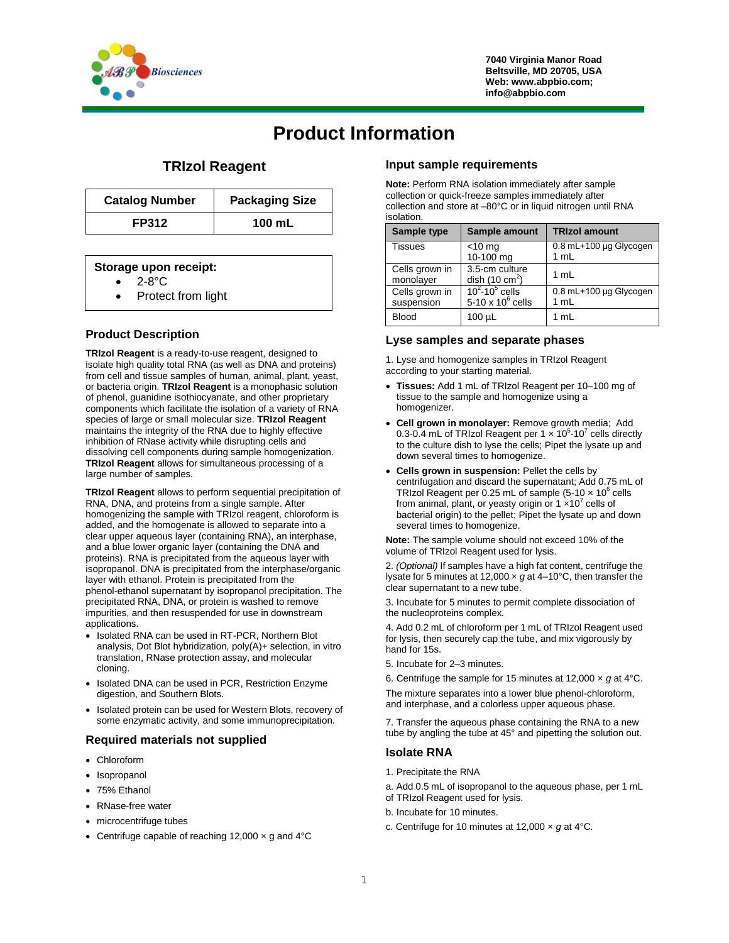

**7040 Virginia Manor Road Beltsville, MD 20705, USA Web: www.abpbio.com; info@abpbio.com**

# **Product Information**

## **TRIzol Reagent**

| <b>Catalog Number</b> | <b>Packaging Size</b> |
|-----------------------|-----------------------|
| <b>FP312</b>          | 100 mL                |

#### **Storage upon receipt:**

- 2-8°C
- Protect from light

### **Product Description**

**TRIzol Reagent** is a ready-to-use reagent, designed to isolate high quality total RNA (as well as DNA and proteins) from cell and tissue samples of human, animal, plant, yeast, or bacteria origin. **TRIzol Reagent** is a monophasic solution of phenol, guanidine isothiocyanate, and other proprietary components which facilitate the isolation of a variety of RNA species of large or small molecular size. **TRIzol Reagent** maintains the integrity of the RNA due to highly effective inhibition of RNase activity while disrupting cells and dissolving cell components during sample homogenization. **TRIzol Reagent** allows for simultaneous processing of a large number of samples.

**TRIzol Reagent** allows to perform sequential precipitation of RNA, DNA, and proteins from a single sample. After homogenizing the sample with TRIzol reagent, chloroform is added, and the homogenate is allowed to separate into a clear upper aqueous layer (containing RNA), an interphase, and a blue lower organic layer (containing the DNA and proteins). RNA is precipitated from the aqueous layer with isopropanol. DNA is precipitated from the interphase/organic layer with ethanol. Protein is precipitated from the phenol-ethanol supernatant by isopropanol precipitation. The precipitated RNA, DNA, or protein is washed to remove impurities, and then resuspended for use in downstream applications.

- Isolated RNA can be used in RT-PCR, Northern Blot analysis, Dot Blot hybridization, poly(A)+ selection, in vitro translation, RNase protection assay, and molecular cloning.
- Isolated DNA can be used in PCR, Restriction Enzyme digestion, and Southern Blots.
- Isolated protein can be used for Western Blots, recovery of some enzymatic activity, and some immunoprecipitation.

#### **Required materials not supplied**

- Chloroform
- Isopropanol
- 75% Ethanol
- RNase-free water
- microcentrifuge tubes
- Centrifuge capable of reaching 12,000  $\times$  g and 4 $\degree$ C

#### **Input sample requirements**

**Note:** Perform RNA isolation immediately after sample collection or quick-freeze samples immediately after collection and store at –80°C or in liquid nitrogen until RNA isolation.

| Sample type                  | Sample amount                              | <b>TRIzol amount</b>           |
|------------------------------|--------------------------------------------|--------------------------------|
| <b>Tissues</b>               | $<$ 10 mg<br>10-100 mg                     | 0.8 mL+100 µg Glycogen<br>1 mL |
| Cells grown in<br>monolayer  | 3.5-cm culture<br>dish $(10 \text{ cm}^2)$ | 1 mL                           |
| Cells grown in<br>suspension | $10^2 - 10^5$ cells<br>5-10 x $10^6$ cells | 0.8 mL+100 µg Glycogen<br>1 mL |
| <b>Blood</b>                 | $100 \mu L$                                | 1 mL                           |

#### **Lyse samples and separate phases**

1. Lyse and homogenize samples in TRIzol Reagent according to your starting material.

- **Tissues:** Add 1 mL of TRIzol Reagent per 10–100 mg of tissue to the sample and homogenize using a homogenizer.
- **Cell grown in monolayer:** Remove growth media; Add 0.3-0.4 mL of TRIzol Reagent per 1  $\times$  10<sup>5</sup>-10<sup>7</sup> cells directly to the culture dish to lyse the cells; Pipet the lysate up and down several times to homogenize.
- **Cells grown in suspension:** Pellet the cells by centrifugation and discard the supernatant; Add 0.75 mL of TRIzol Reagent per 0.25 mL of sample (5-10  $\times$  10 $^6$  cells from animal, plant, or yeasty origin or 1  $\times$ 10<sup>7</sup> cells of bacterial origin) to the pellet; Pipet the lysate up and down several times to homogenize.

**Note:** The sample volume should not exceed 10% of the volume of TRIzol Reagent used for lysis.

2. *(Optional)* If samples have a high fat content, centrifuge the lysate for 5 minutes at 12,000 × *g* at 4–10°C, then transfer the clear supernatant to a new tube.

3. Incubate for 5 minutes to permit complete dissociation of the nucleoproteins complex.

4. Add 0.2 mL of chloroform per 1 mL of TRIzol Reagent used for lysis, then securely cap the tube, and mix vigorously by hand for 15s.

- 5. Incubate for 2–3 minutes.
- 6. Centrifuge the sample for 15 minutes at 12,000 × *g* at 4°C.

The mixture separates into a lower blue phenol-chloroform, and interphase, and a colorless upper aqueous phase.

7. Transfer the aqueous phase containing the RNA to a new tube by angling the tube at 45° and pipetting the solution out.

#### **Isolate RNA**

- 1. Precipitate the RNA
- a. Add 0.5 mL of isopropanol to the aqueous phase, per 1 mL of TRIzol Reagent used for lysis.
- b. Incubate for 10 minutes.
- c. Centrifuge for 10 minutes at 12,000 × *g* at 4°C.